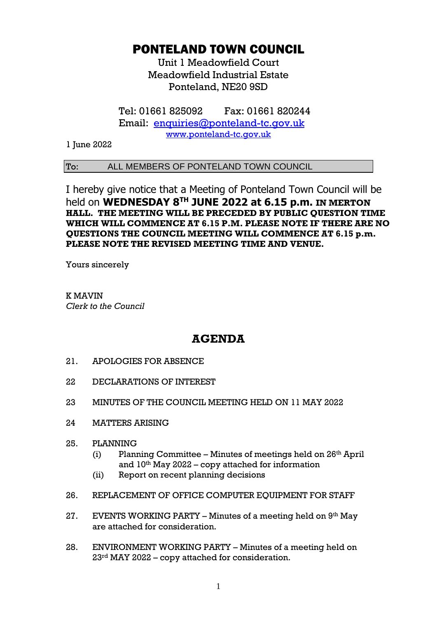## PONTELAND TOWN COUNCIL

Unit 1 Meadowfield Court Meadowfield Industrial Estate Ponteland, NE20 9SD

Tel: 01661 825092 Fax: 01661 820244 Email: [enquiries@ponteland-tc.gov.uk](mailto:enquiries@ponteland-tc.gov.uk) [www.ponteland-tc.gov.uk](http://www.ponteland-tc.gov.uk/)

1 June 2022

## To: ALL MEMBERS OF PONTELAND TOWN COUNCIL

I hereby give notice that a Meeting of Ponteland Town Council will be held on **WEDNESDAY 8 TH JUNE 2022 at 6.15 p.m. IN MERTON HALL. THE MEETING WILL BE PRECEDED BY PUBLIC QUESTION TIME WHICH WILL COMMENCE AT 6.15 P.M. PLEASE NOTE IF THERE ARE NO QUESTIONS THE COUNCIL MEETING WILL COMMENCE AT 6.15 p.m. PLEASE NOTE THE REVISED MEETING TIME AND VENUE.**

Yours sincerely

K MAVIN *Clerk to the Council*

## **AGENDA**

- 21. APOLOGIES FOR ABSENCE
- 22 DECLARATIONS OF INTEREST
- 23 MINUTES OF THE COUNCIL MEETING HELD ON 11 MAY 2022
- 24 MATTERS ARISING
- 25. PLANNING
	- (i) Planning Committee Minutes of meetings held on  $26<sup>th</sup>$  April and  $10<sup>th</sup>$  May 2022 – copy attached for information
	- (ii) Report on recent planning decisions
- 26. REPLACEMENT OF OFFICE COMPUTER EQUIPMENT FOR STAFF
- 27. EVENTS WORKING PARTY Minutes of a meeting held on 9th May are attached for consideration.
- 28. ENVIRONMENT WORKING PARTY Minutes of a meeting held on 23rd MAY 2022 – copy attached for consideration.